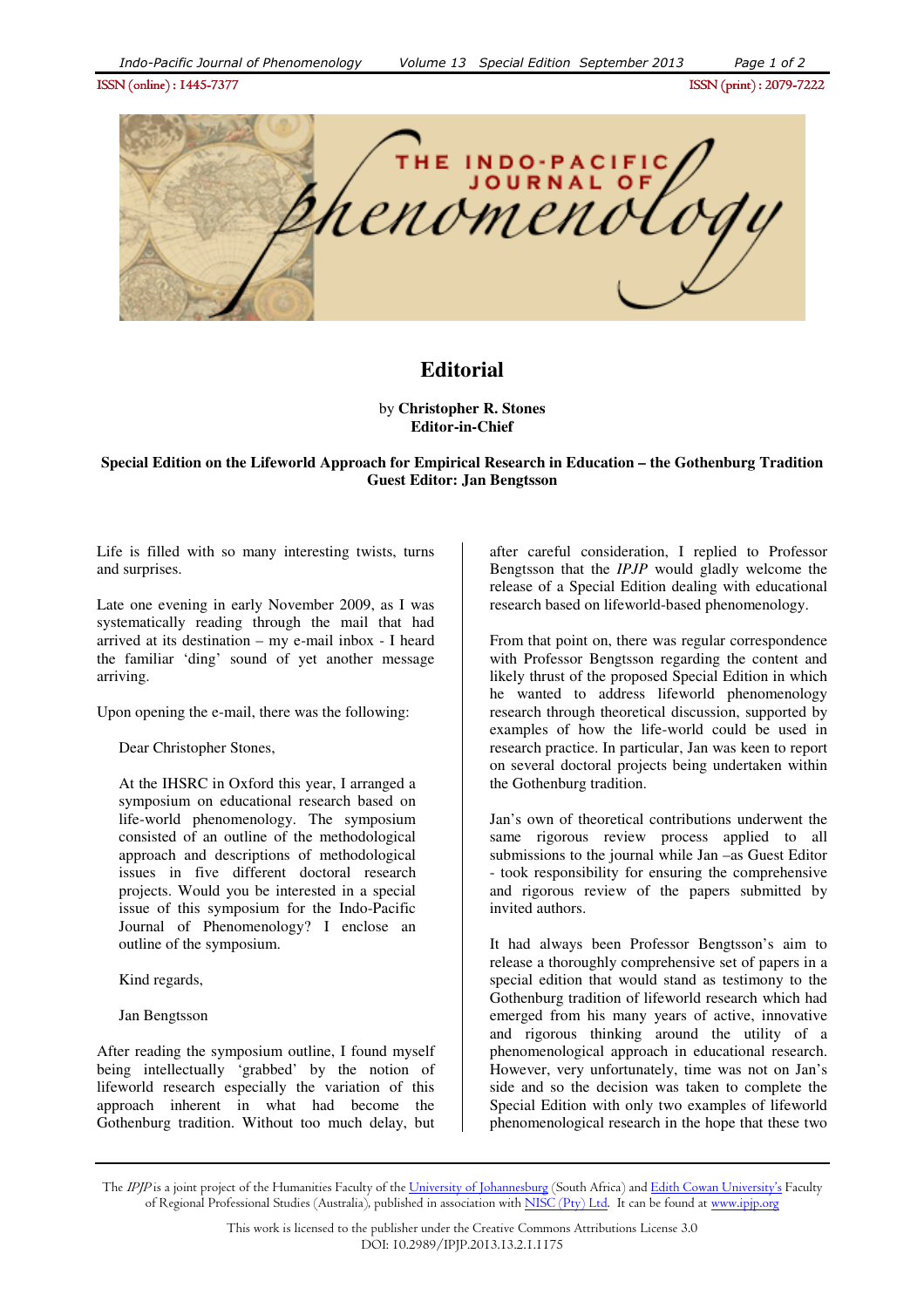ISSN (online) : 1445- ISSN (online) : 1445-7377ISSN (print) : 2079- ISSN (print) 2079-7222



## **Editorial**

by **Christopher R. Stones Editor-in-Chief**

## **Special Edition on the Lifeworld Approach for Empirical Research in Education – the Gothenburg Tradition Guest Editor: Jan Bengtsson**

Life is filled with so many interesting twists, turns and surprises.

Late one evening in early November 2009, as I was systematically reading through the mail that had arrived at its destination – my e-mail inbox - I heard the familiar 'ding' sound of yet another message arriving.

Upon opening the e-mail, there was the following:

Dear Christopher Stones,

At the IHSRC in Oxford this year, I arranged a symposium on educational research based on life-world phenomenology. The symposium consisted of an outline of the methodological approach and descriptions of methodological issues in five different doctoral research projects. Would you be interested in a special issue of this symposium for the Indo-Pacific Journal of Phenomenology? I enclose an outline of the symposium.

Kind regards,

Jan Bengtsson

After reading the symposium outline, I found myself being intellectually 'grabbed' by the notion of lifeworld research especially the variation of this approach inherent in what had become the Gothenburg tradition. Without too much delay, but after careful consideration, I replied to Professor Bengtsson that the *IPJP* would gladly welcome the release of a Special Edition dealing with educational research based on lifeworld-based phenomenology.

From that point on, there was regular correspondence with Professor Bengtsson regarding the content and likely thrust of the proposed Special Edition in which he wanted to address lifeworld phenomenology research through theoretical discussion, supported by examples of how the life-world could be used in research practice. In particular, Jan was keen to report on several doctoral projects being undertaken within the Gothenburg tradition.

Jan's own of theoretical contributions underwent the same rigorous review process applied to all submissions to the journal while Jan –as Guest Editor - took responsibility for ensuring the comprehensive and rigorous review of the papers submitted by invited authors.

It had always been Professor Bengtsson's aim to release a thoroughly comprehensive set of papers in a special edition that would stand as testimony to the Gothenburg tradition of lifeworld research which had emerged from his many years of active, innovative and rigorous thinking around the utility of a phenomenological approach in educational research. However, very unfortunately, time was not on Jan's side and so the decision was taken to complete the Special Edition with only two examples of lifeworld phenomenological research in the hope that these two

The IPJP is a joint project of the Humanities Faculty of the University of Johannesburg (South Africa) and Edith Cowan University's Faculty of Regional Professional Studies (Australia), published in association with NISC (Pty) Ltd. It can be found at www.ipip.org